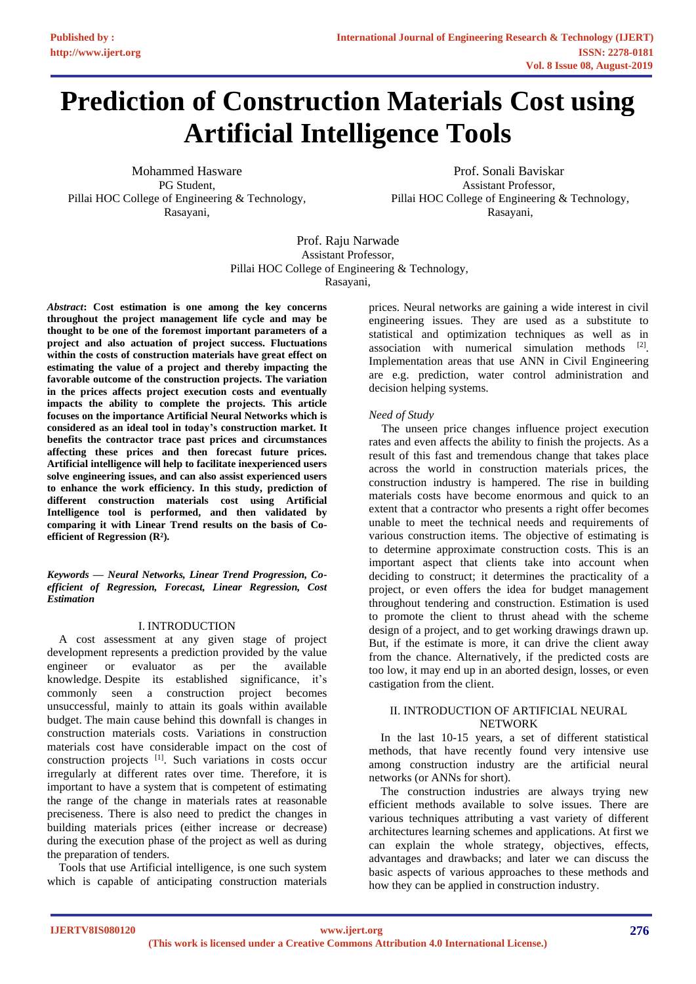# **Prediction of Construction Materials Cost using Artificial Intelligence Tools**

Mohammed Hasware PG Student, Pillai HOC College of Engineering & Technology, Rasayani,

Prof. Sonali Baviskar Assistant Professor, Pillai HOC College of Engineering & Technology, Rasayani,

Prof. Raju Narwade Assistant Professor, Pillai HOC College of Engineering & Technology, Rasayani,

*Abstract***: Cost estimation is one among the key concerns throughout the project management life cycle and may be thought to be one of the foremost important parameters of a project and also actuation of project success. Fluctuations within the costs of construction materials have great effect on estimating the value of a project and thereby impacting the favorable outcome of the construction projects. The variation in the prices affects project execution costs and eventually impacts the ability to complete the projects. This article focuses on the importance Artificial Neural Networks which is considered as an ideal tool in today's construction market. It benefits the contractor trace past prices and circumstances affecting these prices and then forecast future prices. Artificial intelligence will help to facilitate inexperienced users solve engineering issues, and can also assist experienced users to enhance the work efficiency. In this study, prediction of different construction materials cost using Artificial Intelligence tool is performed, and then validated by comparing it with Linear Trend results on the basis of Coefficient of Regression (R²).**

*Keywords — Neural Networks, Linear Trend Progression, Coefficient of Regression, Forecast, Linear Regression, Cost Estimation*

# I. INTRODUCTION

A cost assessment at any given stage of project development represents a prediction provided by the value engineer or evaluator as per the available knowledge. Despite its established significance, it's commonly seen a construction project becomes unsuccessful, mainly to attain its goals within available budget. The main cause behind this downfall is changes in construction materials costs. Variations in construction materials cost have considerable impact on the cost of construction projects [1] . Such variations in costs occur irregularly at different rates over time. Therefore, it is important to have a system that is competent of estimating the range of the change in materials rates at reasonable preciseness. There is also need to predict the changes in building materials prices (either increase or decrease) during the execution phase of the project as well as during the preparation of tenders.

Tools that use Artificial intelligence, is one such system which is capable of anticipating construction materials prices. Neural networks are gaining a wide interest in civil engineering issues. They are used as a substitute to statistical and optimization techniques as well as in association with numerical simulation methods  $[2]$ . Implementation areas that use ANN in Civil Engineering are e.g. prediction, water control administration and decision helping systems.

### *Need of Study*

The unseen price changes influence project execution rates and even affects the ability to finish the projects. As a result of this fast and tremendous change that takes place across the world in construction materials prices, the construction industry is hampered. The rise in building materials costs have become enormous and quick to an extent that a contractor who presents a right offer becomes unable to meet the technical needs and requirements of various construction items. The objective of estimating is to determine approximate construction costs. This is an important aspect that clients take into account when deciding to construct; it determines the practicality of a project, or even offers the idea for budget management throughout tendering and construction. Estimation is used to promote the client to thrust ahead with the scheme design of a project, and to get working drawings drawn up. But, if the estimate is more, it can drive the client away from the chance. Alternatively, if the predicted costs are too low, it may end up in an aborted design, losses, or even castigation from the client.

# II. INTRODUCTION OF ARTIFICIAL NEURAL NETWORK

In the last 10-15 years, a set of different statistical methods, that have recently found very intensive use among construction industry are the artificial neural networks (or ANNs for short).

The construction industries are always trying new efficient methods available to solve issues. There are various techniques attributing a vast variety of different architectures learning schemes and applications. At first we can explain the whole strategy, objectives, effects, advantages and drawbacks; and later we can discuss the basic aspects of various approaches to these methods and how they can be applied in construction industry.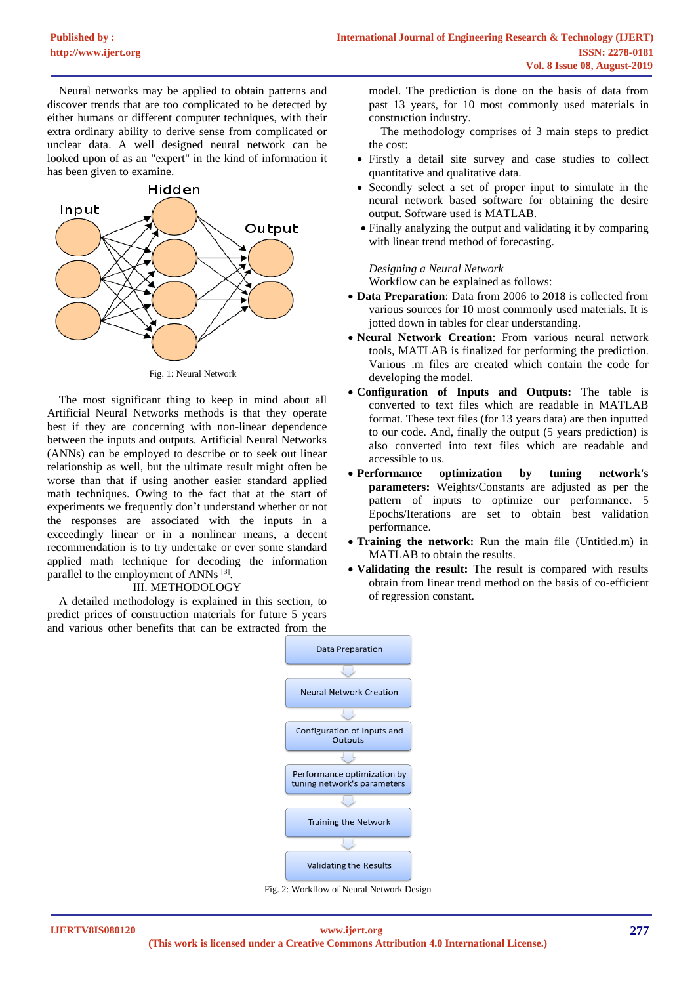Neural networks may be applied to obtain patterns and discover trends that are too complicated to be detected by either humans or different computer techniques, with their extra ordinary ability to derive sense from complicated or unclear data. A well designed neural network can be looked upon of as an "expert" in the kind of information it has been given to examine.



Fig. 1: Neural Network

The most significant thing to keep in mind about all Artificial Neural Networks methods is that they operate best if they are concerning with non-linear dependence between the inputs and outputs. Artificial Neural Networks (ANNs) can be employed to describe or to seek out linear relationship as well, but the ultimate result might often be worse than that if using another easier standard applied math techniques. Owing to the fact that at the start of experiments we frequently don't understand whether or not the responses are associated with the inputs in a exceedingly linear or in a nonlinear means, a decent recommendation is to try undertake or ever some standard applied math technique for decoding the information parallel to the employment of ANNs [3].

## III. METHODOLOGY

A detailed methodology is explained in this section, to predict prices of construction materials for future 5 years and various other benefits that can be extracted from the

model. The prediction is done on the basis of data from past 13 years, for 10 most commonly used materials in construction industry.

The methodology comprises of 3 main steps to predict the cost:

- Firstly a detail site survey and case studies to collect quantitative and qualitative data.
- Secondly select a set of proper input to simulate in the neural network based software for obtaining the desire output. Software used is MATLAB.
- Finally analyzing the output and validating it by comparing with linear trend method of forecasting.

### *Designing a Neural Network*

Workflow can be explained as follows:

- **Data Preparation**: Data from 2006 to 2018 is collected from various sources for 10 most commonly used materials. It is jotted down in tables for clear understanding.
- **Neural Network Creation**: From various neural network tools, MATLAB is finalized for performing the prediction. Various .m files are created which contain the code for developing the model.
- **Configuration of Inputs and Outputs:** The table is converted to text files which are readable in MATLAB format. These text files (for 13 years data) are then inputted to our code. And, finally the output (5 years prediction) is also converted into text files which are readable and accessible to us.
- **Performance optimization by tuning network's parameters:** Weights/Constants are adjusted as per the pattern of inputs to optimize our performance. 5 Epochs/Iterations are set to obtain best validation performance.
- **Training the network:** Run the main file (Untitled.m) in MATLAB to obtain the results.
- **Validating the result:** The result is compared with results obtain from linear trend method on the basis of co-efficient of regression constant.



Fig. 2: Workflow of Neural Network Design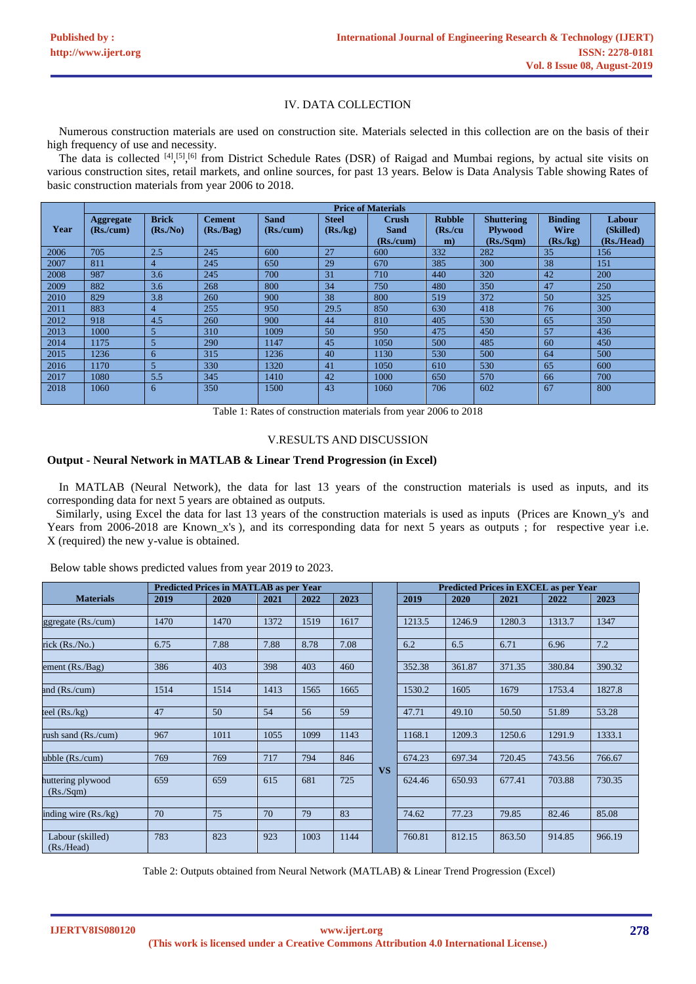## IV. DATA COLLECTION

Numerous construction materials are used on construction site. Materials selected in this collection are on the basis of their high frequency of use and necessity.

The data is collected  $[4]$ ,  $[5]$ ,  $[6]$  from District Schedule Rates (DSR) of Raigad and Mumbai regions, by actual site visits on various construction sites, retail markets, and online sources, for past 13 years. Below is Data Analysis Table showing Rates of basic construction materials from year 2006 to 2018.

|      | <b>Price of Materials</b> |                |               |             |              |             |               |                   |                |            |
|------|---------------------------|----------------|---------------|-------------|--------------|-------------|---------------|-------------------|----------------|------------|
|      | <b>Aggregate</b>          | <b>Brick</b>   | <b>Cement</b> | <b>Sand</b> | <b>Steel</b> | Crush       | <b>Rubble</b> | <b>Shuttering</b> | <b>Binding</b> | Labour     |
| Year | (Rs/cum)                  | (Rs/No)        | (Rs./Bag)     | (Rs/cum)    | (Rs./kg)     | <b>Sand</b> | $(Rs$ ./cu    | <b>Plywood</b>    | <b>Wire</b>    | (Skilled)  |
|      |                           |                |               |             |              | (Rs/cum)    | $\mathbf{m}$  | (Rs./Sqm)         | (Rs./kg)       | (Rs./Head) |
| 2006 | 705                       | 2.5            | 245           | 600         | 27           | 600         | 332           | 282               | 35             | 156        |
| 2007 | 811                       | 4              | 245           | 650         | 29           | 670         | 385           | 300               | 38             | 151        |
| 2008 | 987                       | 3.6            | 245           | 700         | 31           | 710         | 440           | 320               | 42             | 200        |
| 2009 | 882                       | 3.6            | 268           | 800         | 34           | 750         | 480           | 350               | 47             | 250        |
| 2010 | 829                       | 3.8            | 260           | 900         | 38           | 800         | 519           | 372               | 50             | 325        |
| 2011 | 883                       | $\overline{4}$ | 255           | 950         | 29.5         | 850         | 630           | 418               | 76             | 300        |
| 2012 | 918                       | 4.5            | 260           | 900         | 44           | 810         | 405           | 530               | 65             | 350        |
| 2013 | 1000                      | $\overline{5}$ | 310           | 1009        | 50           | 950         | 475           | 450               | 57             | 436        |
| 2014 | 1175                      | 5              | 290           | 1147        | 45           | 1050        | 500           | 485               | 60             | 450        |
| 2015 | 1236                      | 6              | 315           | 1236        | 40           | 1130        | 530           | 500               | 64             | 500        |
| 2016 | 1170                      | $\overline{5}$ | 330           | 1320        | 41           | 1050        | 610           | 530               | 65             | 600        |
| 2017 | 1080                      | 5.5            | 345           | 1410        | 42           | 1000        | 650           | 570               | 66             | 700        |
| 2018 | 1060                      | 6              | 350           | 1500        | 43           | 1060        | 706           | 602               | 67             | 800        |

Table 1: Rates of construction materials from year 2006 to 2018

#### V.RESULTS AND DISCUSSION

#### **Output - Neural Network in MATLAB & Linear Trend Progression (in Excel)**

In MATLAB (Neural Network), the data for last 13 years of the construction materials is used as inputs, and its corresponding data for next 5 years are obtained as outputs.

 Similarly, using Excel the data for last 13 years of the construction materials is used as inputs (Prices are Known\_y's and Years from 2006-2018 are Known\_x's), and its corresponding data for next 5 years as outputs; for respective year i.e. X (required) the new y-value is obtained.

|                                | <b>Predicted Prices in MATLAB as per Year</b> |      |      |      |      |           |        | <b>Predicted Prices in EXCEL as per Year</b> |        |        |        |
|--------------------------------|-----------------------------------------------|------|------|------|------|-----------|--------|----------------------------------------------|--------|--------|--------|
| <b>Materials</b>               | 2019                                          | 2020 | 2021 | 2022 | 2023 |           | 2019   | 2020                                         | 2021   | 2022   | 2023   |
|                                |                                               |      |      |      |      |           |        |                                              |        |        |        |
| ggregate $(Rs/cum)$            | 1470                                          | 1470 | 1372 | 1519 | 1617 |           | 1213.5 | 1246.9                                       | 1280.3 | 1313.7 | 1347   |
|                                |                                               |      |      |      |      |           |        |                                              |        |        |        |
| rick (Rs./No.)                 | 6.75                                          | 7.88 | 7.88 | 8.78 | 7.08 |           | 6.2    | 6.5                                          | 6.71   | 6.96   | 7.2    |
|                                |                                               |      |      |      |      |           |        |                                              |        |        |        |
| ement $(Rs.Bag)$               | 386                                           | 403  | 398  | 403  | 460  |           | 352.38 | 361.87                                       | 371.35 | 380.84 | 390.32 |
| and (Rs./cum)                  | 1514                                          | 1514 | 1413 | 1565 | 1665 |           | 1530.2 | 1605                                         | 1679   | 1753.4 | 1827.8 |
|                                |                                               |      |      |      |      |           |        |                                              |        |        |        |
| teel $(Rs/kg)$                 | 47                                            | 50   | 54   | 56   | 59   |           | 47.71  | 49.10                                        | 50.50  | 51.89  | 53.28  |
| rush sand (Rs./cum)            | 967                                           | 1011 | 1055 | 1099 | 1143 |           | 1168.1 | 1209.3                                       | 1250.6 | 1291.9 | 1333.1 |
| ubble (Rs./cum)                | 769                                           | 769  | 717  | 794  | 846  |           | 674.23 | 697.34                                       | 720.45 | 743.56 | 766.67 |
|                                |                                               |      |      |      |      | <b>VS</b> |        |                                              |        |        |        |
| huttering plywood<br>(Rs./Sqm) | 659                                           | 659  | 615  | 681  | 725  |           | 624.46 | 650.93                                       | 677.41 | 703.88 | 730.35 |
|                                |                                               |      |      |      |      |           |        |                                              |        |        |        |
| inding wire $(Rs/kg)$          | 70                                            | 75   | 70   | 79   | 83   |           | 74.62  | 77.23                                        | 79.85  | 82.46  | 85.08  |
|                                |                                               |      |      |      |      |           |        |                                              |        |        |        |
| Labour (skilled)<br>(Rs./Head) | 783                                           | 823  | 923  | 1003 | 1144 |           | 760.81 | 812.15                                       | 863.50 | 914.85 | 966.19 |

Below table shows predicted values from year 2019 to 2023.

Table 2: Outputs obtained from Neural Network (MATLAB) & Linear Trend Progression (Excel)

**IJERTV8IS080120 (This work is licensed under a Creative Commons Attribution 4.0 International License.) <www.ijert.org>**